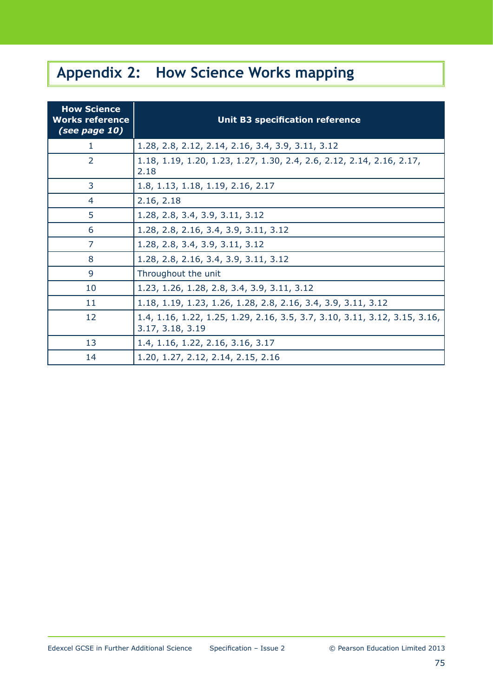# **Appendix 2: How Science Works mapping**

| <b>How Science</b><br><b>Works reference</b><br>(see page 10) | <b>Unit B3 specification reference</b>                                                         |
|---------------------------------------------------------------|------------------------------------------------------------------------------------------------|
| 1                                                             | 1.28, 2.8, 2.12, 2.14, 2.16, 3.4, 3.9, 3.11, 3.12                                              |
| $\overline{2}$                                                | 1.18, 1.19, 1.20, 1.23, 1.27, 1.30, 2.4, 2.6, 2.12, 2.14, 2.16, 2.17,<br>2.18                  |
| 3                                                             | 1.8, 1.13, 1.18, 1.19, 2.16, 2.17                                                              |
| 4                                                             | 2.16, 2.18                                                                                     |
| 5                                                             | 1.28, 2.8, 3.4, 3.9, 3.11, 3.12                                                                |
| 6                                                             | 1.28, 2.8, 2.16, 3.4, 3.9, 3.11, 3.12                                                          |
| $\overline{7}$                                                | 1.28, 2.8, 3.4, 3.9, 3.11, 3.12                                                                |
| 8                                                             | 1.28, 2.8, 2.16, 3.4, 3.9, 3.11, 3.12                                                          |
| 9                                                             | Throughout the unit                                                                            |
| 10                                                            | 1.23, 1.26, 1.28, 2.8, 3.4, 3.9, 3.11, 3.12                                                    |
| 11                                                            | 1.18, 1.19, 1.23, 1.26, 1.28, 2.8, 2.16, 3.4, 3.9, 3.11, 3.12                                  |
| 12                                                            | 1.4, 1.16, 1.22, 1.25, 1.29, 2.16, 3.5, 3.7, 3.10, 3.11, 3.12, 3.15, 3.16,<br>3.17, 3.18, 3.19 |
| 13                                                            | 1.4, 1.16, 1.22, 2.16, 3.16, 3.17                                                              |
| 14                                                            | 1.20, 1.27, 2.12, 2.14, 2.15, 2.16                                                             |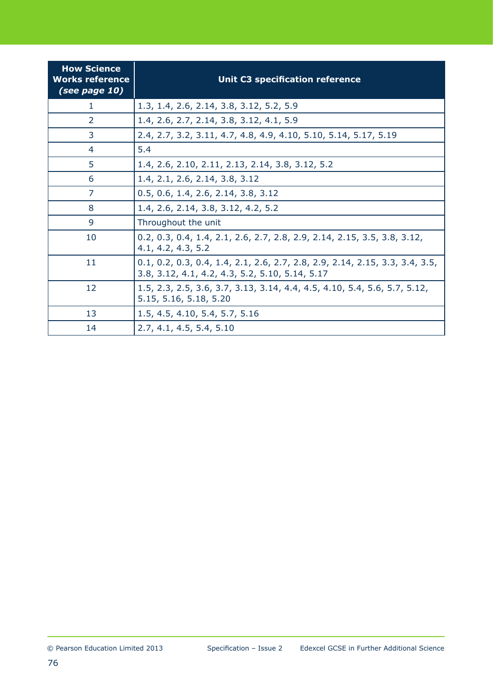| <b>How Science</b><br><b>Works reference</b><br>(see page 10) | <b>Unit C3 specification reference</b>                                                                                          |
|---------------------------------------------------------------|---------------------------------------------------------------------------------------------------------------------------------|
| 1                                                             | 1.3, 1.4, 2.6, 2.14, 3.8, 3.12, 5.2, 5.9                                                                                        |
| 2                                                             | 1.4, 2.6, 2.7, 2.14, 3.8, 3.12, 4.1, 5.9                                                                                        |
| 3                                                             | 2.4, 2.7, 3.2, 3.11, 4.7, 4.8, 4.9, 4.10, 5.10, 5.14, 5.17, 5.19                                                                |
| 4                                                             | 5.4                                                                                                                             |
| 5                                                             | 1.4, 2.6, 2.10, 2.11, 2.13, 2.14, 3.8, 3.12, 5.2                                                                                |
| 6                                                             | 1.4, 2.1, 2.6, 2.14, 3.8, 3.12                                                                                                  |
| 7                                                             | 0.5, 0.6, 1.4, 2.6, 2.14, 3.8, 3.12                                                                                             |
| 8                                                             | 1.4, 2.6, 2.14, 3.8, 3.12, 4.2, 5.2                                                                                             |
| 9                                                             | Throughout the unit                                                                                                             |
| 10                                                            | 0.2, 0.3, 0.4, 1.4, 2.1, 2.6, 2.7, 2.8, 2.9, 2.14, 2.15, 3.5, 3.8, 3.12,<br>4.1, 4.2, 4.3, 5.2                                  |
| 11                                                            | 0.1, 0.2, 0.3, 0.4, 1.4, 2.1, 2.6, 2.7, 2.8, 2.9, 2.14, 2.15, 3.3, 3.4, 3.5,<br>3.8, 3.12, 4.1, 4.2, 4.3, 5.2, 5.10, 5.14, 5.17 |
| 12                                                            | 1.5, 2.3, 2.5, 3.6, 3.7, 3.13, 3.14, 4.4, 4.5, 4.10, 5.4, 5.6, 5.7, 5.12,<br>5.15, 5.16, 5.18, 5.20                             |
| 13                                                            | 1.5, 4.5, 4.10, 5.4, 5.7, 5.16                                                                                                  |
| 14                                                            | 2.7, 4.1, 4.5, 5.4, 5.10                                                                                                        |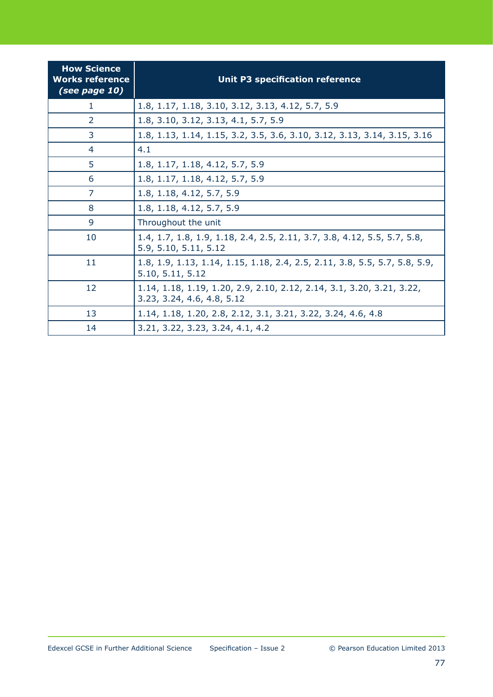| <b>How Science</b><br><b>Works reference</b><br>(see page 10) | <b>Unit P3 specification reference</b>                                                              |
|---------------------------------------------------------------|-----------------------------------------------------------------------------------------------------|
| 1                                                             | 1.8, 1.17, 1.18, 3.10, 3.12, 3.13, 4.12, 5.7, 5.9                                                   |
| 2                                                             | 1.8, 3.10, 3.12, 3.13, 4.1, 5.7, 5.9                                                                |
| 3                                                             | 1.8, 1.13, 1.14, 1.15, 3.2, 3.5, 3.6, 3.10, 3.12, 3.13, 3.14, 3.15, 3.16                            |
| 4                                                             | 4.1                                                                                                 |
| 5                                                             | 1.8, 1.17, 1.18, 4.12, 5.7, 5.9                                                                     |
| 6                                                             | 1.8, 1.17, 1.18, 4.12, 5.7, 5.9                                                                     |
| 7                                                             | 1.8, 1.18, 4.12, 5.7, 5.9                                                                           |
| 8                                                             | 1.8, 1.18, 4.12, 5.7, 5.9                                                                           |
| 9                                                             | Throughout the unit                                                                                 |
| 10                                                            | 1.4, 1.7, 1.8, 1.9, 1.18, 2.4, 2.5, 2.11, 3.7, 3.8, 4.12, 5.5, 5.7, 5.8,<br>5.9, 5.10, 5.11, 5.12   |
| 11                                                            | 1.8, 1.9, 1.13, 1.14, 1.15, 1.18, 2.4, 2.5, 2.11, 3.8, 5.5, 5.7, 5.8, 5.9,<br>5.10, 5.11, 5.12      |
| 12                                                            | 1.14, 1.18, 1.19, 1.20, 2.9, 2.10, 2.12, 2.14, 3.1, 3.20, 3.21, 3.22,<br>3.23, 3.24, 4.6, 4.8, 5.12 |
| 13                                                            | 1.14, 1.18, 1.20, 2.8, 2.12, 3.1, 3.21, 3.22, 3.24, 4.6, 4.8                                        |
| 14                                                            | 3.21, 3.22, 3.23, 3.24, 4.1, 4.2                                                                    |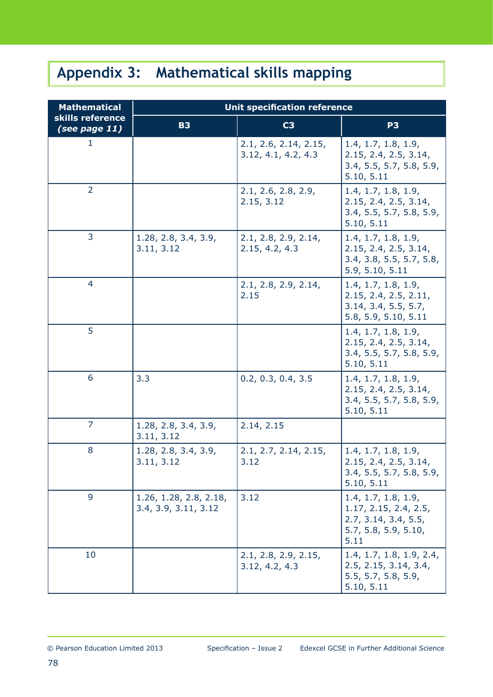# **Appendix 3: Mathematical skills mapping**

| <b>Mathematical</b>               | <b>Unit specification reference</b>            |                                              |                                                                                                      |  |  |  |  |
|-----------------------------------|------------------------------------------------|----------------------------------------------|------------------------------------------------------------------------------------------------------|--|--|--|--|
| skills reference<br>(see page 11) | <b>B3</b>                                      | C <sub>3</sub>                               | P <sub>3</sub>                                                                                       |  |  |  |  |
| ı                                 |                                                | 2.1, 2.6, 2.14, 2.15,<br>3.12, 4.1, 4.2, 4.3 | 1.4, 1.7, 1.8, 1.9,<br>2.15, 2.4, 2.5, 3.14,<br>3.4, 5.5, 5.7, 5.8, 5.9,<br>5.10, 5.11               |  |  |  |  |
| $\overline{2}$                    |                                                | 2.1, 2.6, 2.8, 2.9,<br>2.15, 3.12            | 1.4, 1.7, 1.8, 1.9,<br>2.15, 2.4, 2.5, 3.14,<br>3.4, 5.5, 5.7, 5.8, 5.9,<br>5.10, 5.11               |  |  |  |  |
| 3                                 | 1.28, 2.8, 3.4, 3.9,<br>3.11, 3.12             | 2.1, 2.8, 2.9, 2.14,<br>2.15, 4.2, 4.3       | 1.4, 1.7, 1.8, 1.9,<br>2.15, 2.4, 2.5, 3.14,<br>3.4, 3.8, 5.5, 5.7, 5.8,<br>5.9, 5.10, 5.11          |  |  |  |  |
| 4                                 |                                                | 2.1, 2.8, 2.9, 2.14,<br>2.15                 | 1.4, 1.7, 1.8, 1.9,<br>2.15, 2.4, 2.5, 2.11,<br>3.14, 3.4, 5.5, 5.7,<br>5.8, 5.9, 5.10, 5.11         |  |  |  |  |
| 5                                 |                                                |                                              | 1.4, 1.7, 1.8, 1.9,<br>2.15, 2.4, 2.5, 3.14,<br>3.4, 5.5, 5.7, 5.8, 5.9,<br>5.10, 5.11               |  |  |  |  |
| 6                                 | 3.3                                            | 0.2, 0.3, 0.4, 3.5                           | 1.4, 1.7, 1.8, 1.9,<br>2.15, 2.4, 2.5, 3.14,<br>3.4, 5.5, 5.7, 5.8, 5.9,<br>5.10, 5.11               |  |  |  |  |
| $\overline{7}$                    | 1.28, 2.8, 3.4, 3.9,<br>3.11, 3.12             | 2.14, 2.15                                   |                                                                                                      |  |  |  |  |
| 8                                 | 1.28, 2.8, 3.4, 3.9,<br>3.11, 3.12             | 2.1, 2.7, 2.14, 2.15,<br>3.12                | 1.4, 1.7, 1.8, 1.9,<br>2.15, 2.4, 2.5, 3.14,<br>3.4, 5.5, 5.7, 5.8, 5.9,<br>5.10, 5.11               |  |  |  |  |
| 9                                 | 1.26, 1.28, 2.8, 2.18,<br>3.4, 3.9, 3.11, 3.12 | 3.12                                         | 1.4, 1.7, 1.8, 1.9,<br>1.17, 2.15, 2.4, 2.5,<br>2.7, 3.14, 3.4, 5.5,<br>5.7, 5.8, 5.9, 5.10,<br>5.11 |  |  |  |  |
| 10                                |                                                | 2.1, 2.8, 2.9, 2.15,<br>3.12, 4.2, 4.3       | 1.4, 1.7, 1.8, 1.9, 2.4,<br>2.5, 2.15, 3.14, 3.4,<br>5.5, 5.7, 5.8, 5.9,<br>5.10, 5.11               |  |  |  |  |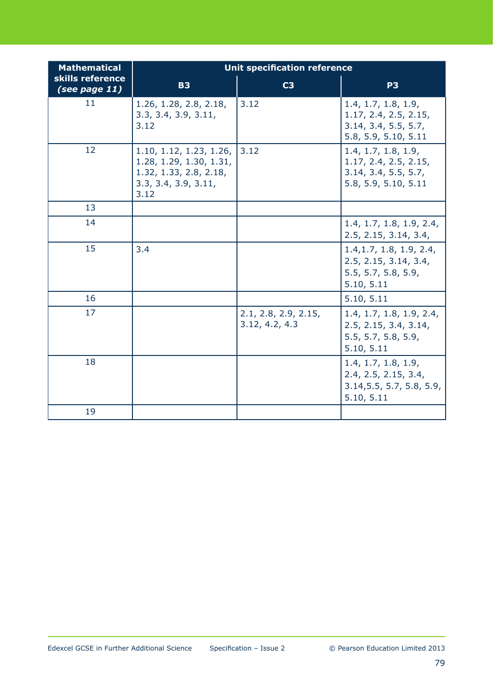| <b>Mathematical</b>               | <b>Unit specification reference</b>                                                                          |                                        |                                                                                              |  |  |  |  |
|-----------------------------------|--------------------------------------------------------------------------------------------------------------|----------------------------------------|----------------------------------------------------------------------------------------------|--|--|--|--|
| skills reference<br>(see page 11) | <b>B3</b>                                                                                                    | C <sub>3</sub>                         | P <sub>3</sub>                                                                               |  |  |  |  |
| 11                                | 1.26, 1.28, 2.8, 2.18,<br>3.3, 3.4, 3.9, 3.11,<br>3.12                                                       | 3.12                                   | 1.4, 1.7, 1.8, 1.9,<br>1.17, 2.4, 2.5, 2.15,<br>3.14, 3.4, 5.5, 5.7,<br>5.8, 5.9, 5.10, 5.11 |  |  |  |  |
| 12                                | 1.10, 1.12, 1.23, 1.26,<br>1.28, 1.29, 1.30, 1.31,<br>1.32, 1.33, 2.8, 2.18,<br>3.3, 3.4, 3.9, 3.11,<br>3.12 | 3.12                                   | 1.4, 1.7, 1.8, 1.9,<br>1.17, 2.4, 2.5, 2.15,<br>3.14, 3.4, 5.5, 5.7,<br>5.8, 5.9, 5.10, 5.11 |  |  |  |  |
| 13                                |                                                                                                              |                                        |                                                                                              |  |  |  |  |
| 14                                |                                                                                                              |                                        | 1.4, 1.7, 1.8, 1.9, 2.4,<br>2.5, 2.15, 3.14, 3.4,                                            |  |  |  |  |
| 15                                | 3.4                                                                                                          |                                        | 1.4, 1.7, 1.8, 1.9, 2.4,<br>2.5, 2.15, 3.14, 3.4,<br>5.5, 5.7, 5.8, 5.9,<br>5.10, 5.11       |  |  |  |  |
| 16                                |                                                                                                              |                                        | 5.10, 5.11                                                                                   |  |  |  |  |
| 17                                |                                                                                                              | 2.1, 2.8, 2.9, 2.15,<br>3.12, 4.2, 4.3 | 1.4, 1.7, 1.8, 1.9, 2.4,<br>2.5, 2.15, 3.4, 3.14,<br>5.5, 5.7, 5.8, 5.9,<br>5.10, 5.11       |  |  |  |  |
| 18                                |                                                                                                              |                                        | 1.4, 1.7, 1.8, 1.9,<br>2.4, 2.5, 2.15, 3.4,<br>3.14, 5.5, 5.7, 5.8, 5.9,<br>5.10, 5.11       |  |  |  |  |
| 19                                |                                                                                                              |                                        |                                                                                              |  |  |  |  |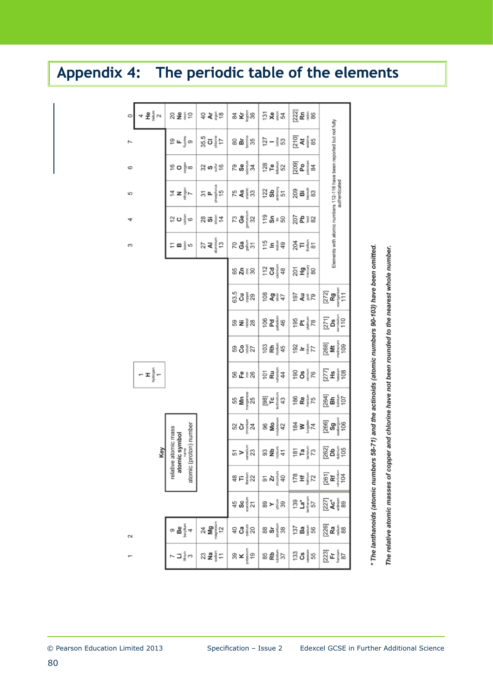## **Appendix 4: The periodic table of the elements**

| 0      | 운통♡<br>4             | ខ្ល <b>៖</b> ទី ៦                                               | 순 호 <sub>분</sub> 능                                             | 조종영<br>ಥೆ                       | ភូ <b>ខ</b> ្ទុំ ង                       | <u>ន</u> ្ត<br>ស្រុក និង                    |                                                                       |
|--------|----------------------|-----------------------------------------------------------------|----------------------------------------------------------------|---------------------------------|------------------------------------------|---------------------------------------------|-----------------------------------------------------------------------|
|        |                      | တ္။⊾နီ့သ                                                        | 35.5                                                           | <b>ង</b> ៖្ទឹង<br>80            | $\frac{5}{2} - \frac{2}{3}$ 33           | a‡≝<br>∑∡                                   |                                                                       |
| 6      |                      | (္က ဝ ္ခ်ီ့ ∞                                                   | အ္က က ္ခ်ဳ က်                                                  | 79<br><b>Se</b><br>¥,           | $^{28}_{\text{H}}$ ng $^{29}_{\text{H}}$ | ಶ್ವಾ<br>ಶ್ವಾ                                |                                                                       |
| 5      |                      | 후 z ‱                                                           | shasphoru<br>15<br>5<br>Δ.                                     | 75<br><b>AS</b><br>33           | ភ្នំ នូវ<br>ក្នុង                        | ក្តុ<br>ក្តុំ ខេ                            | authenticated                                                         |
| 4      |                      | န်<br>နို<br>ူ ပ                                                | ឌ ឆ <b>ូ</b><br>4                                              | $\frac{3}{6}$<br>32             | ទី ទួ ≋ ន                                | <u>ន្ត្រី ៖</u> ន                           | Elements with atomic numbers 112-116 have been reported but not fully |
| S      |                      | <b>က</b> နို့ က<br>Ξ                                            | $\frac{A}{\text{a} \cdot \text{b} \cdot \text{c}}$<br>£,<br>27 | <b>దొ</b> క్జే స్<br>20         | 눈 드들 삶                                   | 왕⊨ ៖ ஐ                                      |                                                                       |
|        |                      |                                                                 |                                                                | <b>ន ។</b> ៖ ន                  | $72$ $\frac{2}{3}$ $\frac{2}{3}$         | <u>័</u> 5 ធ្វើខ                            |                                                                       |
|        |                      |                                                                 |                                                                | 63.5<br>ಕ ಕ್ಷಿ                  | 5 5 4 7<br>5 7 7 7                       | ्र दे इष्ट                                  | $[272]$<br>Rg<br><sub>romponium</sub><br>$\frac{1}{11}$               |
|        |                      |                                                                 |                                                                | ⊗ ₹∛≀ฐ                          | Pd<br>paladium<br>106<br>46              | 80 <b>포</b> 홀                               | $[271]$<br>$\frac{\text{Ds}}{\text{ms}}$                              |
|        |                      |                                                                 |                                                                | ឌ ៜ៖្ទី ឯ                       | ទ្ធ <b>ឌ</b> ្ទឹង                        | 정 = 출노                                      | [268]                                                                 |
|        | $ \pm$ $\frac{6}{5}$ |                                                                 |                                                                | នកទេន                           | Ru<br>uthenium<br>έś<br>4                | $\frac{8}{100}$<br>190<br>76                | $\frac{277}{255}$                                                     |
|        |                      |                                                                 |                                                                | anganese<br>ξ<br>55<br>25       | [98]<br>T <b>c</b><br>"<br>43            | <u>88 ಕಿತ್ಯ</u>                             | <u>ន្ត្រី ត</u> រ៉ូទ                                                  |
|        |                      |                                                                 |                                                                | ន ភូមិ<br>និង<br>24             | maybdenum<br>42<br>å<br>8                | $\frac{1}{24}$ $\geq$ $\frac{1}{24}$ $\leq$ | <b>Sg</b><br>29<br>106<br>[266]                                       |
|        | Key                  | atomic (proton) number<br>relative atomic mass<br>atomic symbol |                                                                | ranadium<br>23<br>><br>오        | $\mathbf{B}$<br>3<br>41                  | $\frac{181}{1a}$<br>73                      | 262]<br><b>Da</b> fils<br>195                                         |
|        |                      |                                                                 |                                                                | ឌុ⊨៛្ទ្គីន                      | ភូ <b>ដ</b> ៃ<br>ត                       | 은 포틀 2                                      | $[261]$<br><b>Rf</b><br>104                                           |
|        |                      |                                                                 |                                                                | <del>ប</del> ្ទុង និង           | ឌ ≻ ៖្ថ័្ត                               | នី <b>ដ</b> ៃ<br>នៅ                         | 27]<br>24<br>88                                                       |
| $\sim$ |                      |                                                                 | 24<br>Mg<br>‱                                                  | ទ <b>ូ</b> មិ <sub>ទ្ទិ</sub> ន | ន <b>ង</b> ៖្ខំន                         | ទី <b>ធ</b> ្វី ខេ                          | 26]<br><b>Ra</b> is 88                                                |
|        |                      |                                                                 | ន ≅៖្ខ័≍                                                       | <u>జే</u> త                     | ಹಿ <b>ಕ್ಲಿ</b> ಕ್ಟ್<br>ಜಕ್ಷಿ             | <u>និ</u> ទ <sub>ូ</sub> ធំន                | 23]<br>노들                                                             |

\* The lanthanoids (atomic numbers 58-71) and the actinoids (atomic numbers 90-103) have been omitted. The relative atomic masses of copper and chlorine have not been rounded to the nearest whole number.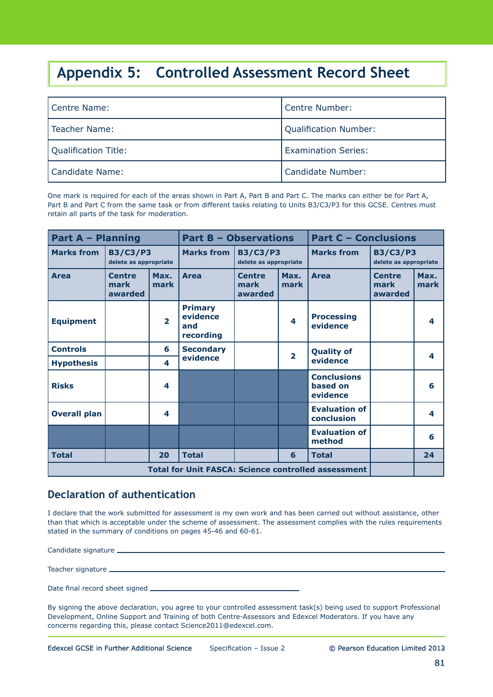### **Appendix 5: Controlled Assessment Record Sheet**

| l Centre Name:       | Centre Number:             |
|----------------------|----------------------------|
| l Teacher Name:      | Qualification Number:      |
| Qualification Title: | <b>Examination Series:</b> |
| l Candidate Name:    | Candidate Number:          |

One mark is required for each of the areas shown in Part A, Part B and Part C. The marks can either be for Part A, Part B and Part C from the same task or from different tasks relating to Units B3/C3/P3 for this GCSE. Centres must retain all parts of the task for moderation.

| <b>Part A - Planning</b> |                                                            |                | <b>Part B - Observations</b>                   |                                          |                         | <b>Part C - Conclusions</b>                |                                          |              |
|--------------------------|------------------------------------------------------------|----------------|------------------------------------------------|------------------------------------------|-------------------------|--------------------------------------------|------------------------------------------|--------------|
| <b>Marks from</b>        | <b>B3/C3/P3</b><br>delete as appropriate                   |                | <b>Marks from</b>                              | <b>B3/C3/P3</b><br>delete as appropriate |                         | <b>Marks from</b>                          | <b>B3/C3/P3</b><br>delete as appropriate |              |
| <b>Area</b>              | <b>Centre</b><br>mark<br>awarded                           | Max.<br>mark   | <b>Area</b>                                    | <b>Centre</b><br>mark<br>awarded         | Max.<br>mark            | <b>Area</b>                                | <b>Centre</b><br>mark<br>awarded         | Max.<br>mark |
| <b>Equipment</b>         |                                                            | $\overline{2}$ | <b>Primary</b><br>evidence<br>and<br>recording |                                          | 4                       | <b>Processing</b><br>evidence              |                                          | 4            |
| <b>Controls</b>          |                                                            | 6              | <b>Secondary</b>                               |                                          | $\overline{\mathbf{2}}$ | <b>Quality of</b>                          |                                          | 4            |
| <b>Hypothesis</b>        |                                                            | 4              | evidence                                       |                                          |                         | evidence                                   |                                          |              |
| <b>Risks</b>             |                                                            | 4              |                                                |                                          |                         | <b>Conclusions</b><br>based on<br>evidence |                                          | 6            |
| <b>Overall plan</b>      |                                                            | 4              |                                                |                                          |                         | <b>Evaluation of</b><br>conclusion         |                                          | 4            |
|                          |                                                            |                |                                                |                                          |                         | <b>Evaluation of</b><br>method             |                                          | 6            |
| <b>Total</b>             |                                                            | 20             | <b>Total</b>                                   |                                          | 6                       | <b>Total</b>                               |                                          | 24           |
|                          | <b>Total for Unit FASCA: Science controlled assessment</b> |                |                                                |                                          |                         |                                            |                                          |              |

#### **Declaration of authentication**

I declare that the work submitted for assessment is my own work and has been carried out without assistance, other than that which is acceptable under the scheme of assessment. The assessment complies with the rules requirements stated in the summary of conditions on pages 45-46 and 60-61.

Candidate signature

Teacher signature

Date final record sheet signed \_\_\_\_\_\_\_\_

By signing the above declaration, you agree to your controlled assessment task(s) being used to support Professional Development, Online Support and Training of both Centre-Assessors and Edexcel Moderators. If you have any concerns regarding this, please contact Science2011@edexcel.com.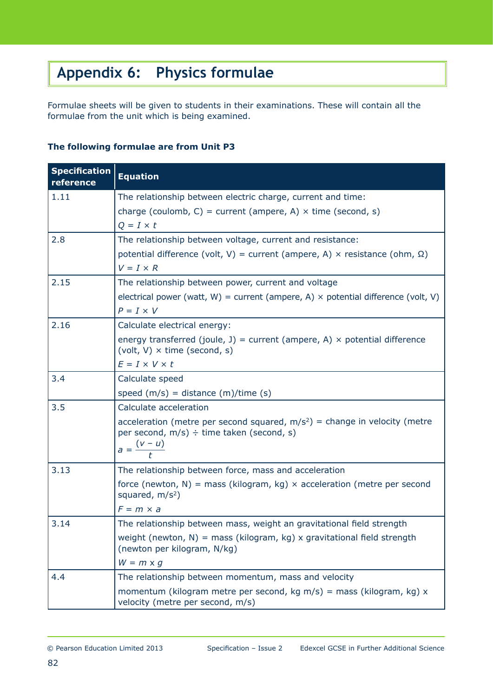## **Appendix 6: Physics formulae**

Formulae sheets will be given to students in their examinations. These will contain all the formulae from the unit which is being examined.

#### **The following formulae are from Unit P3**

| <b>Specification</b><br>reference | <b>Equation</b>                                                                                                          |
|-----------------------------------|--------------------------------------------------------------------------------------------------------------------------|
| 1.11                              | The relationship between electric charge, current and time:                                                              |
|                                   | charge (coulomb, C) = current (ampere, A) $\times$ time (second, s)                                                      |
|                                   | $Q = I \times t$                                                                                                         |
| 2.8                               | The relationship between voltage, current and resistance:                                                                |
|                                   | potential difference (volt, V) = current (ampere, A) $\times$ resistance (ohm, $\Omega$ )                                |
|                                   | $V = I \times R$                                                                                                         |
| 2.15                              | The relationship between power, current and voltage                                                                      |
|                                   | electrical power (watt, W) = current (ampere, A) $\times$ potential difference (volt, V)                                 |
|                                   | $P = I \times V$                                                                                                         |
| 2.16                              | Calculate electrical energy:                                                                                             |
|                                   | energy transferred (joule, J) = current (ampere, A) $\times$ potential difference<br>(volt, V) $\times$ time (second, s) |
|                                   | $E = I \times V \times t$                                                                                                |
| 3.4                               | Calculate speed                                                                                                          |
|                                   | speed $(m/s)$ = distance $(m)/time(s)$                                                                                   |
| 3.5                               | Calculate acceleration                                                                                                   |
|                                   | acceleration (metre per second squared, $m/s^2$ ) = change in velocity (metre                                            |
|                                   | per second, $m/s$ ) ÷ time taken (second, s)                                                                             |
|                                   | $a = \frac{(v - u)}{t}$                                                                                                  |
| 3.13                              | The relationship between force, mass and acceleration                                                                    |
|                                   | force (newton, N) = mass (kilogram, kg) $\times$ acceleration (metre per second<br>squared, $m/s^2$ )                    |
|                                   | $F = m \times a$                                                                                                         |
| 3.14                              | The relationship between mass, weight an gravitational field strength                                                    |
|                                   | weight (newton, $N$ ) = mass (kilogram, kg) x gravitational field strength<br>(newton per kilogram, N/kg)                |
|                                   | $W = m \times g$                                                                                                         |
| 4.4                               | The relationship between momentum, mass and velocity                                                                     |
|                                   | momentum (kilogram metre per second, kg m/s) = mass (kilogram, kg) $x$<br>velocity (metre per second, m/s)               |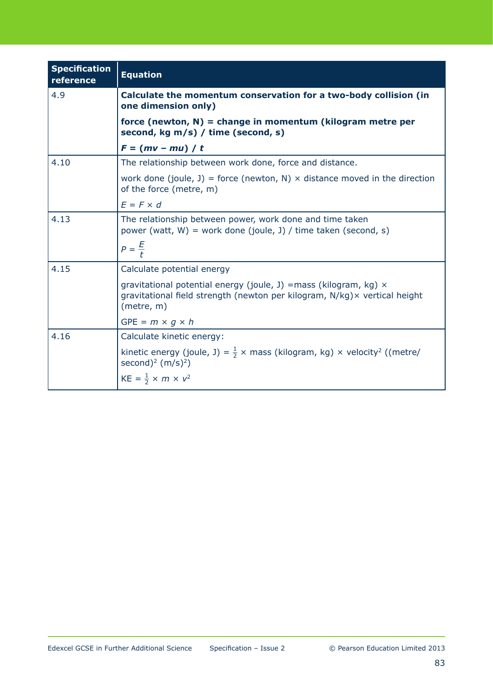| <b>Specification</b><br>reference | <b>Equation</b>                                                                                                                                                      |
|-----------------------------------|----------------------------------------------------------------------------------------------------------------------------------------------------------------------|
| 4.9                               | Calculate the momentum conservation for a two-body collision (in<br>one dimension only)                                                                              |
|                                   | force (newton, $N$ ) = change in momentum (kilogram metre per<br>second, kg m/s) / time (second, s)                                                                  |
|                                   | $F = (mv - mu) / t$                                                                                                                                                  |
| 4.10                              | The relationship between work done, force and distance.                                                                                                              |
|                                   | work done (joule, J) = force (newton, N) $\times$ distance moved in the direction<br>of the force (metre, m)                                                         |
|                                   | $F = F \times d$                                                                                                                                                     |
| 4.13                              | The relationship between power, work done and time taken<br>power (watt, $W$ ) = work done (joule, J) / time taken (second, s)                                       |
|                                   | $P = \frac{E}{t}$                                                                                                                                                    |
| 4.15                              | Calculate potential energy                                                                                                                                           |
|                                   | gravitational potential energy (joule, J) = mass (kilogram, kg) $\times$<br>gravitational field strength (newton per kilogram, N/kg) × vertical height<br>(metre, m) |
|                                   | $GPE = m \times q \times h$                                                                                                                                          |
| 4.16                              | Calculate kinetic energy:                                                                                                                                            |
|                                   | kinetic energy (joule, J) = $\frac{1}{2}$ x mass (kilogram, kg) x velocity <sup>2</sup> ((metre/<br>second) <sup>2</sup> (m/s) <sup>2</sup> )                        |
|                                   | $KE = \frac{1}{2} \times m \times v^2$                                                                                                                               |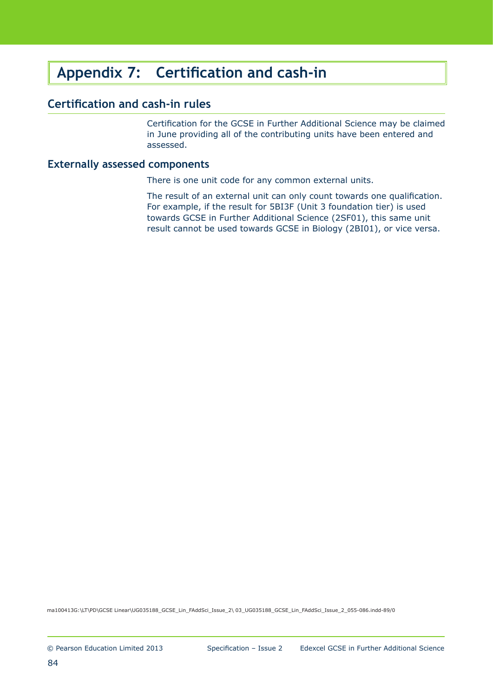### **Appendix 7: Certification and cash-in**

#### **Certification and cash-in rules**

Certification for the GCSE in Further Additional Science may be claimed in June providing all of the contributing units have been entered and assessed.

#### **Externally assessed components**

There is one unit code for any common external units.

The result of an external unit can only count towards one qualification. For example, if the result for 5BI3F (Unit 3 foundation tier) is used towards GCSE in Further Additional Science (2SF01), this same unit result cannot be used towards GCSE in Biology (2BI01), or vice versa.

ma100413G:\LT\PD\GCSE Linear\UG035188\_GCSE\_Lin\_FAddSci\_Issue\_2\ 03\_UG035188\_GCSE\_Lin\_FAddSci\_Issue\_2\_055-086.indd-94/0